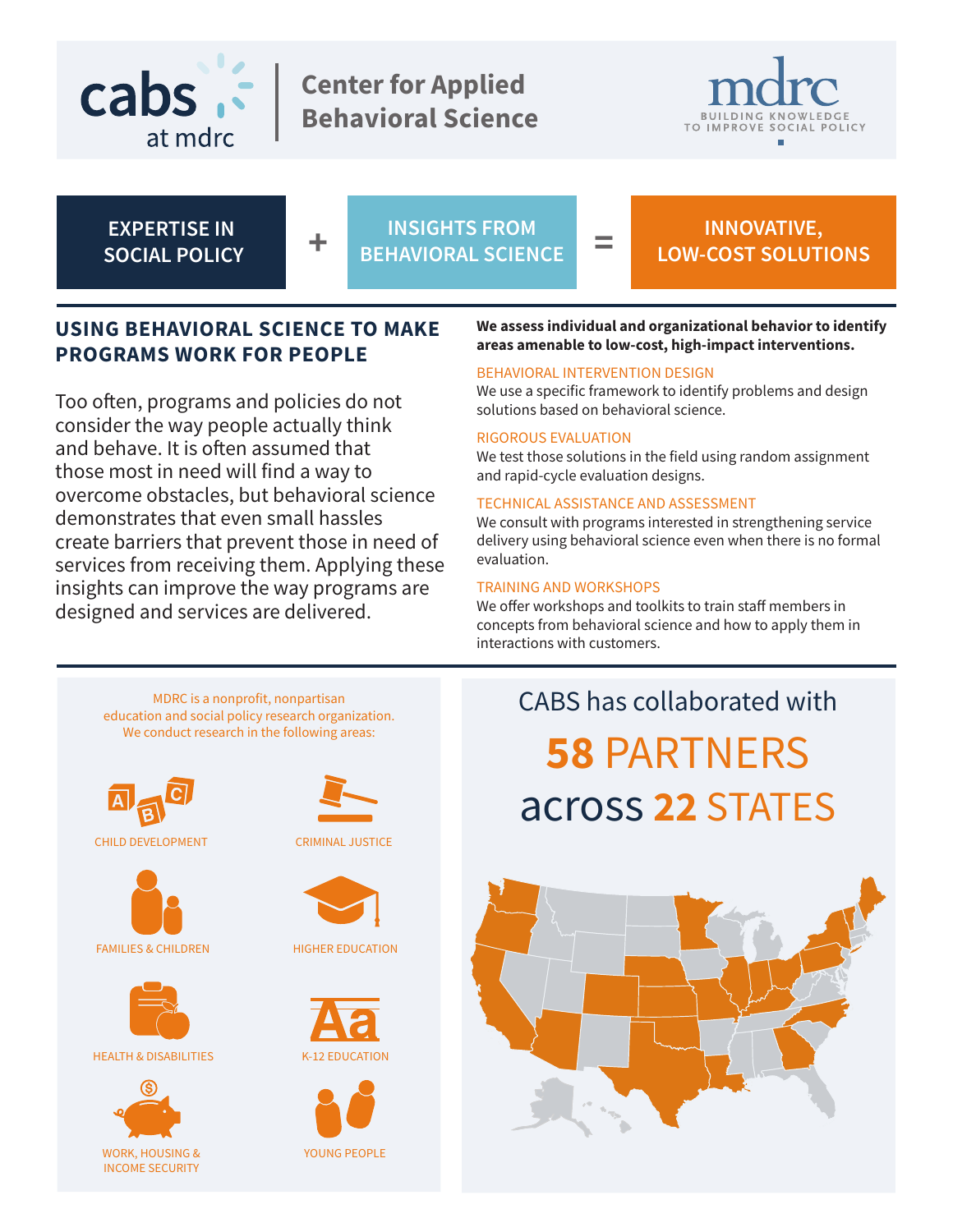

**Center for Applied Behavioral Science**



**EXPERTISE IN SOCIAL POLICY**

$$
\color{red}+
$$

**+ INSIGHTS FROM BEHAVIORAL SCIENCE = INNOVATIVE,** 

# **LOW-COST SOLUTIONS**

# **USING BEHAVIORAL SCIENCE TO MAKE PROGRAMS WORK FOR PEOPLE**

Too often, programs and policies do not consider the way people actually think and behave. It is often assumed that those most in need will find a way to overcome obstacles, but behavioral science demonstrates that even small hassles create barriers that prevent those in need of services from receiving them. Applying these insights can improve the way programs are designed and services are delivered.

#### **We assess individual and organizational behavior to identify areas amenable to low-cost, high-impact interventions.**

#### BEHAVIORAL INTERVENTION DESIGN

We use a specific framework to identify problems and design solutions based on behavioral science.

#### RIGOROUS EVALUATION

We test those solutions in the field using random assignment and rapid-cycle evaluation designs.

#### TECHNICAL ASSISTANCE AND ASSESSMENT

We consult with programs interested in strengthening service delivery using behavioral science even when there is no formal evaluation.

#### TRAINING AND WORKSHOPS

We offer workshops and toolkits to train staff members in concepts from behavioral science and how to apply them in interactions with customers.

MDRC is a nonprofit, nonpartisan education and social policy research organization. We conduct research in the following areas:



CHILD DEVELOPMENT





HEALTH & DISABILITIES K-12 EDUCATION



CRIMINAL JUSTICE



HIGHER EDUCATION





YOUNG PEOPLE

# CABS has collaborated with **58** PARTNERS across **22** STATES